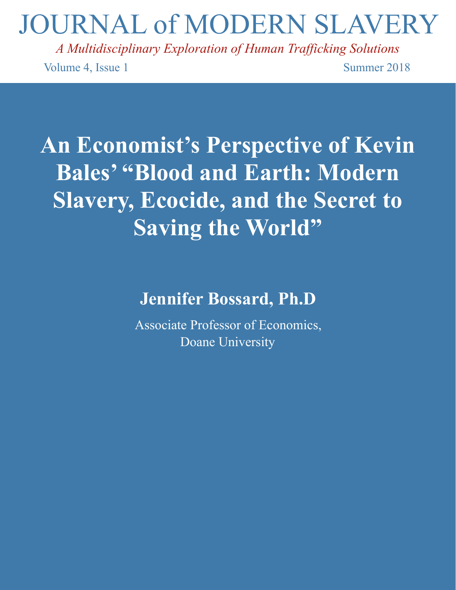# JOURNAL of MODERN SLAVERY

*A Multidisciplinary Exploration of Human Trafficking Solutions*  Volume 4, Issue 1 Summer 2018

# **An Economist's Perspective of Kevin Bales' "Blood and Earth: Modern Slavery, Ecocide, and the Secret to Saving the World"**

# **Jennifer Bossard, Ph.D**

Associate Professor of Economics, Doane University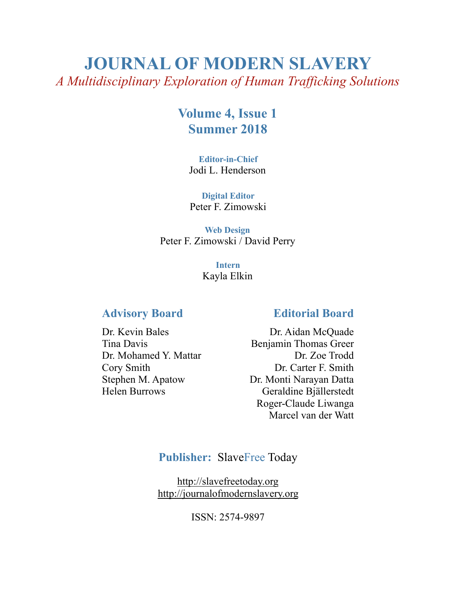# **JOURNAL OF MODERN SLAVERY**  *A Multidisciplinary Exploration of Human Trafficking Solutions*

# **Volume 4, Issue 1 Summer 2018**

**Editor-in-Chief**  Jodi L. Henderson

**Digital Editor**  Peter F. Zimowski

**Web Design**  Peter F. Zimowski / David Perry

> **Intern**  Kayla Elkin

### **Advisory Board**

Dr. Kevin Bales Tina Davis Dr. Mohamed Y. Mattar Cory Smith Stephen M. Apatow Helen Burrows

#### **Editorial Board**

Dr. Aidan McQuade Benjamin Thomas Greer Dr. Zoe Trodd Dr. Carter F. Smith Dr. Monti Narayan Datta Geraldine Bjällerstedt Roger-Claude Liwanga Marcel van der Watt

## **Publisher:** SlaveFree Today

<http://slavefreetoday.org> <http://journalofmodernslavery.org>

ISSN: 2574-9897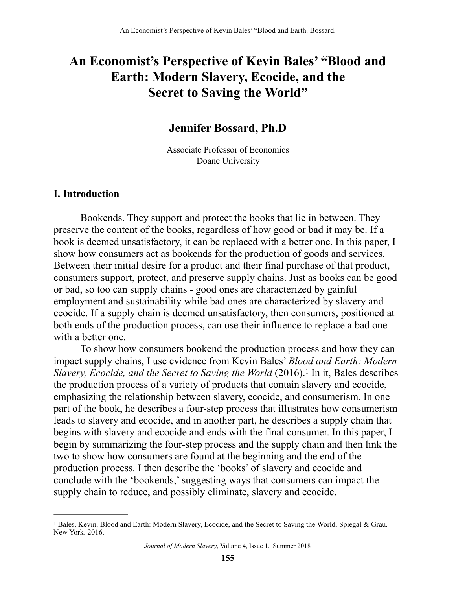# **An Economist's Perspective of Kevin Bales' "Blood and Earth: Modern Slavery, Ecocide, and the Secret to Saving the World"**

## **Jennifer Bossard, Ph.D**

Associate Professor of Economics Doane University

#### **I. Introduction**

Bookends. They support and protect the books that lie in between. They preserve the content of the books, regardless of how good or bad it may be. If a book is deemed unsatisfactory, it can be replaced with a better one. In this paper, I show how consumers act as bookends for the production of goods and services. Between their initial desire for a product and their final purchase of that product, consumers support, protect, and preserve supply chains. Just as books can be good or bad, so too can supply chains - good ones are characterized by gainful employment and sustainability while bad ones are characterized by slavery and ecocide. If a supply chain is deemed unsatisfactory, then consumers, positioned at both ends of the production process, can use their influence to replace a bad one with a better one.

<span id="page-2-1"></span> To show how consumers bookend the production process and how they can impact supply chains, I use evidence from Kevin Bales' *Blood and Earth: Modern Slavery,Ecocide, and the Secret to Saving the World* (20[1](#page-2-0)6).<sup>1</sup> In it, Bales describes the production process of a variety of products that contain slavery and ecocide, emphasizing the relationship between slavery, ecocide, and consumerism. In one part of the book, he describes a four-step process that illustrates how consumerism leads to slavery and ecocide, and in another part, he describes a supply chain that begins with slavery and ecocide and ends with the final consumer. In this paper, I begin by summarizing the four-step process and the supply chain and then link the two to show how consumers are found at the beginning and the end of the production process. I then describe the 'books' of slavery and ecocide and conclude with the 'bookends,' suggesting ways that consumers can impact the supply chain to reduce, and possibly eliminate, slavery and ecocide.

<span id="page-2-0"></span><sup>&</sup>lt;sup>[1](#page-2-1)</sup> Bales, Kevin. Blood and Earth: Modern Slavery, Ecocide, and the Secret to Saving the World. Spiegal & Grau. New York. 2016.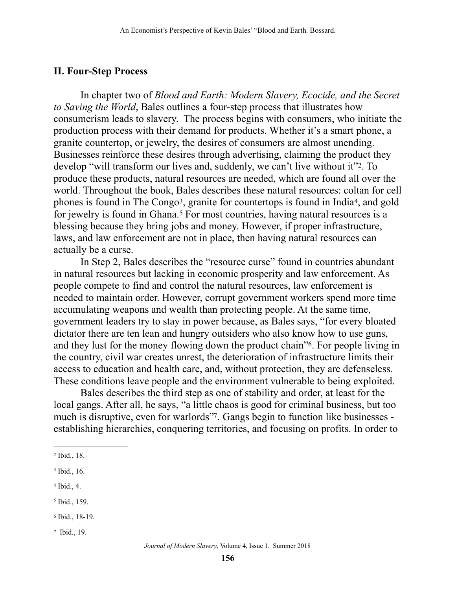### **II. Four-Step Process**

<span id="page-3-6"></span>In chapter two of *Blood and Earth: Modern Slavery, Ecocide, and the Secret to Saving the World*, Bales outlines a four-step process that illustrates how consumerism leads to slavery. The process begins with consumers, who initiate the production process with their demand for products. Whether it's a smart phone, a granite countertop, or jewelry, the desires of consumers are almost unending. Businesses reinforce these desires through advertising, claiming the product they develop "will transform our lives and, suddenly, we can't live without it"<sup>2</sup>[.](#page-3-0) To produce these products, natural resources are needed, which are found all over the world. Throughout the book, Bales describes these natural resources: coltan for cell phones is found in The Congo<sup>[3](#page-3-1)</sup>, granite for countertops is found in India<sup>4</sup>, and gold for jewelry is found in Ghana.<sup>[5](#page-3-3)</sup> For most countries, having natural resources is a blessing because they bring jobs and money. However, if proper infrastructure, laws, and law enforcement are not in place, then having natural resources can actually be a curse.

<span id="page-3-9"></span><span id="page-3-8"></span><span id="page-3-7"></span> In Step 2, Bales describes the "resource curse" found in countries abundant in natural resources but lacking in economic prosperity and law enforcement. As people compete to find and control the natural resources, law enforcement is needed to maintain order. However, corrupt government workers spend more time accumulating weapons and wealth than protecting people. At the same time, government leaders try to stay in power because, as Bales says, "for every bloated dictator there are ten lean and hungry outsiders who also know how to use guns, and they lust for the money flowing down the product chain<sup>"6</sup>[.](#page-3-4) For people living in the country, civil war creates unrest, the deterioration of infrastructure limits their access to education and health care, and, without protection, they are defenseless. These conditions leave people and the environment vulnerable to being exploited.

<span id="page-3-11"></span><span id="page-3-10"></span> Bales describes the third step as one of stability and order, at least for the local gangs. After all, he says, "a little chaos is good for criminal business, but too much is disruptive, even for warlords". Gangs begin to function like businesses establishing hierarchies, conquering territories, and focusing on profits. In order to

- <span id="page-3-4"></span><sup>[6](#page-3-10)</sup> Ibid., 18-19.
- <span id="page-3-5"></span><sup>[7](#page-3-11)</sup> Ibid., 19.

<span id="page-3-0"></span><sup>&</sup>lt;sup>[2](#page-3-6)</sup> Ibid., 18.

<span id="page-3-1"></span> $3$  Ibid., 16.

<span id="page-3-2"></span> $4$  Ibid.,  $4$ .

<span id="page-3-3"></span> $<sup>5</sup>$  $<sup>5</sup>$  $<sup>5</sup>$  Ibid., 159.</sup>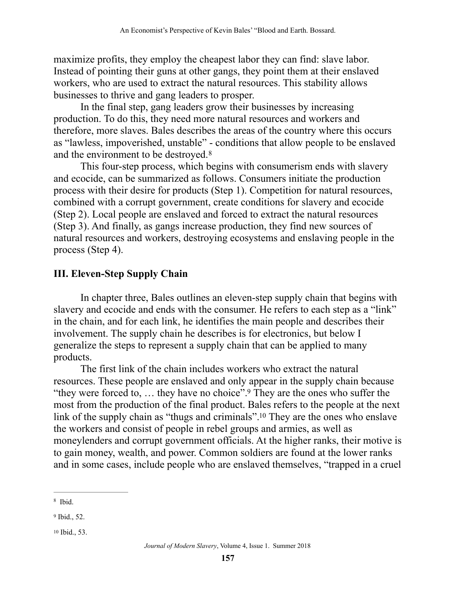maximize profits, they employ the cheapest labor they can find: slave labor. Instead of pointing their guns at other gangs, they point them at their enslaved workers, who are used to extract the natural resources. This stability allows businesses to thrive and gang leaders to prosper.

 In the final step, gang leaders grow their businesses by increasing production. To do this, they need more natural resources and workers and therefore, more slaves. Bales describes the areas of the country where this occurs as "lawless, impoverished, unstable" - conditions that allow people to be enslaved and the environment to be destroyed.[8](#page-4-0)

<span id="page-4-3"></span> This four-step process, which begins with consumerism ends with slavery and ecocide, can be summarized as follows. Consumers initiate the production process with their desire for products (Step 1). Competition for natural resources, combined with a corrupt government, create conditions for slavery and ecocide (Step 2). Local people are enslaved and forced to extract the natural resources (Step 3). And finally, as gangs increase production, they find new sources of natural resources and workers, destroying ecosystems and enslaving people in the process (Step 4).

# **III. Eleven-Step Supply Chain**

In chapter three, Bales outlines an eleven-step supply chain that begins with slavery and ecocide and ends with the consumer. He refers to each step as a "link" in the chain, and for each link, he identifies the main people and describes their involvement. The supply chain he describes is for electronics, but below I generalize the steps to represent a supply chain that can be applied to many products.

<span id="page-4-5"></span><span id="page-4-4"></span> The first link of the chain includes workers who extract the natural resources. These people are enslaved and only appear in the supply chain because "they were forced to,  $\dots$  they have no choice"[.](#page-4-1)<sup>[9](#page-4-1)</sup> They are the ones who suffer the most from the production of the final product. Bales refers to the people at the next link of the supply chain as "thugs and criminals".<sup>[10](#page-4-2)</sup> They are the ones who enslave the workers and consist of people in rebel groups and armies, as well as moneylenders and corrupt government officials. At the higher ranks, their motive is to gain money, wealth, and power. Common soldiers are found at the lower ranks and in some cases, include people who are enslaved themselves, "trapped in a cruel

<span id="page-4-0"></span>[<sup>8</sup>](#page-4-3) Ibid.

<span id="page-4-1"></span><sup>&</sup>lt;sup>[9](#page-4-4)</sup> Ibid., 52.

<span id="page-4-2"></span> $10$  Ibid., 53.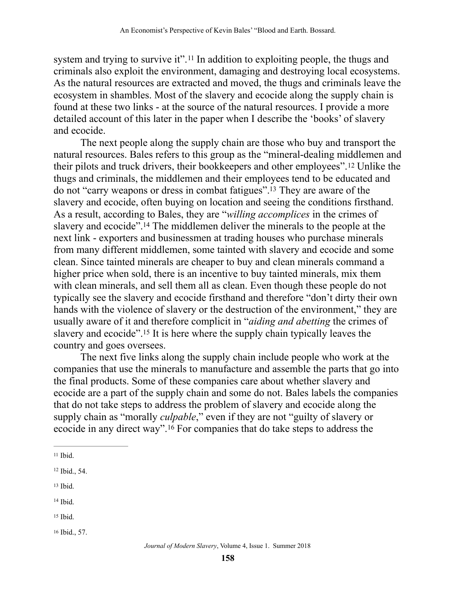<span id="page-5-6"></span>systemand trying to survive it".<sup>[11](#page-5-0)</sup> In addition to exploiting people, the thugs and criminals also exploit the environment, damaging and destroying local ecosystems. As the natural resources are extracted and moved, the thugs and criminals leave the ecosystem in shambles. Most of the slavery and ecocide along the supply chain is found at these two links - at the source of the natural resources. I provide a more detailed account of this later in the paper when I describe the 'books' of slavery and ecocide.

<span id="page-5-9"></span><span id="page-5-8"></span><span id="page-5-7"></span> The next people along the supply chain are those who buy and transport the natural resources. Bales refers to this group as the "mineral-dealing middlemen and theirpilots and truck drivers, their bookkeepers and other employees".<sup>[12](#page-5-1)</sup> Unlike the thugs and criminals, the middlemen and their employees tend to be educated and do not "carry weapons or dress in combat fatigues".<sup>[13](#page-5-2)</sup> They are aware of the slavery and ecocide, often buying on location and seeing the conditions firsthand. As a result, according to Bales, they are "*willing accomplices* in the crimes of slavery and ecocide"[.](#page-5-3)<sup>[14](#page-5-3)</sup> The middlemen deliver the minerals to the people at the next link - exporters and businessmen at trading houses who purchase minerals from many different middlemen, some tainted with slavery and ecocide and some clean. Since tainted minerals are cheaper to buy and clean minerals command a higher price when sold, there is an incentive to buy tainted minerals, mix them with clean minerals, and sell them all as clean. Even though these people do not typically see the slavery and ecocide firsthand and therefore "don't dirty their own hands with the violence of slavery or the destruction of the environment," they are usually aware of it and therefore complicit in "*aiding and abetting* the crimes of slavery and ecocide"[.](#page-5-4)<sup>[15](#page-5-4)</sup> It is here where the supply chain typically leaves the country and goes oversees.

<span id="page-5-10"></span> The next five links along the supply chain include people who work at the companies that use the minerals to manufacture and assemble the parts that go into the final products. Some of these companies care about whether slavery and ecocide are a part of the supply chain and some do not. Bales labels the companies that do not take steps to address the problem of slavery and ecocide along the supply chain as "morally *culpable*," even if they are not "guilty of slavery or ecocide in any direct way".  $16$  For companies that do take steps to address the

- <span id="page-5-2"></span> $13$  Ibid.
- <span id="page-5-3"></span> $14$  Ibid.
- <span id="page-5-4"></span> $15$  Ibid.

<span id="page-5-11"></span><span id="page-5-0"></span> $11$  Ibid.

<span id="page-5-1"></span><sup>&</sup>lt;sup>[12](#page-5-7)</sup> Ibid., 54.

<span id="page-5-5"></span><sup>&</sup>lt;sup>[16](#page-5-11)</sup> Ibid., 57.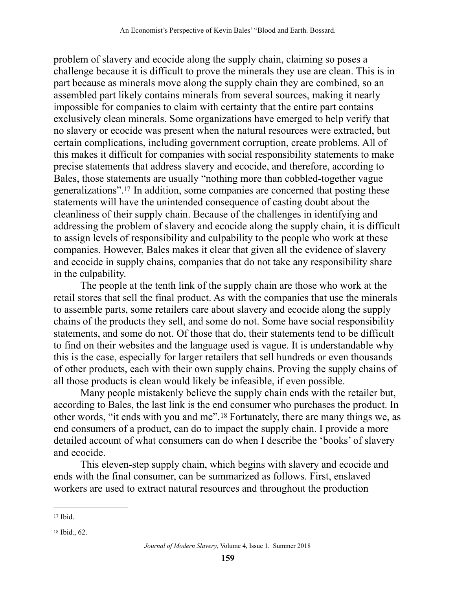problem of slavery and ecocide along the supply chain, claiming so poses a challenge because it is difficult to prove the minerals they use are clean. This is in part because as minerals move along the supply chain they are combined, so an assembled part likely contains minerals from several sources, making it nearly impossible for companies to claim with certainty that the entire part contains exclusively clean minerals. Some organizations have emerged to help verify that no slavery or ecocide was present when the natural resources were extracted, but certain complications, including government corruption, create problems. All of this makes it difficult for companies with social responsibility statements to make precise statements that address slavery and ecocide, and therefore, according to Bales, those statements are usually "nothing more than cobbled-together vague generalizations".<sup>[17](#page-6-0)</sup> In addition, some companies are concerned that posting these statements will have the unintended consequence of casting doubt about the cleanliness of their supply chain. Because of the challenges in identifying and addressing the problem of slavery and ecocide along the supply chain, it is difficult to assign levels of responsibility and culpability to the people who work at these companies. However, Bales makes it clear that given all the evidence of slavery and ecocide in supply chains, companies that do not take any responsibility share in the culpability.

<span id="page-6-2"></span> The people at the tenth link of the supply chain are those who work at the retail stores that sell the final product. As with the companies that use the minerals to assemble parts, some retailers care about slavery and ecocide along the supply chains of the products they sell, and some do not. Some have social responsibility statements, and some do not. Of those that do, their statements tend to be difficult to find on their websites and the language used is vague. It is understandable why this is the case, especially for larger retailers that sell hundreds or even thousands of other products, each with their own supply chains. Proving the supply chains of all those products is clean would likely be infeasible, if even possible.

<span id="page-6-3"></span> Many people mistakenly believe the supply chain ends with the retailer but, according to Bales, the last link is the end consumer who purchases the product. In otherwords, "it ends with you and me".<sup>[18](#page-6-1)</sup> Fortunately, there are many things we, as end consumers of a product, can do to impact the supply chain. I provide a more detailed account of what consumers can do when I describe the 'books' of slavery and ecocide.

 This eleven-step supply chain, which begins with slavery and ecocide and ends with the final consumer, can be summarized as follows. First, enslaved workers are used to extract natural resources and throughout the production

<span id="page-6-0"></span> $17$  Ibid.

<span id="page-6-1"></span><sup>&</sup>lt;sup>[18](#page-6-3)</sup> Ibid., 62.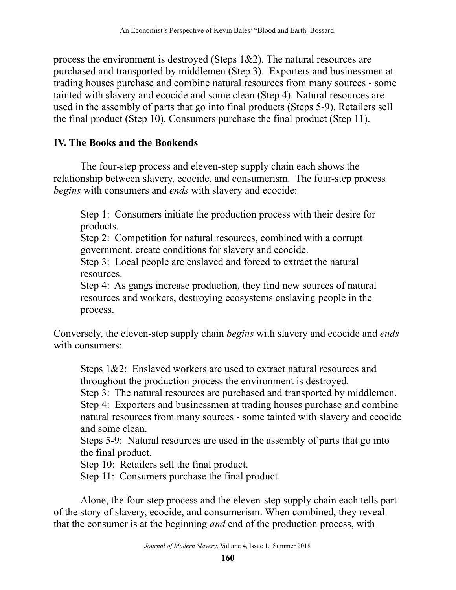process the environment is destroyed (Steps 1&2). The natural resources are purchased and transported by middlemen (Step 3). Exporters and businessmen at trading houses purchase and combine natural resources from many sources - some tainted with slavery and ecocide and some clean (Step 4). Natural resources are used in the assembly of parts that go into final products (Steps 5-9). Retailers sell the final product (Step 10). Consumers purchase the final product (Step 11).

## **IV. The Books and the Bookends**

The four-step process and eleven-step supply chain each shows the relationship between slavery, ecocide, and consumerism. The four-step process *begins* with consumers and *ends* with slavery and ecocide:

Step 1: Consumers initiate the production process with their desire for products.

Step 2: Competition for natural resources, combined with a corrupt government, create conditions for slavery and ecocide.

Step 3: Local people are enslaved and forced to extract the natural resources.

Step 4: As gangs increase production, they find new sources of natural resources and workers, destroying ecosystems enslaving people in the process.

Conversely, the eleven-step supply chain *begins* with slavery and ecocide and *ends* with consumers:

Steps 1&2: Enslaved workers are used to extract natural resources and throughout the production process the environment is destroyed.

Step 3: The natural resources are purchased and transported by middlemen.

Step 4: Exporters and businessmen at trading houses purchase and combine natural resources from many sources - some tainted with slavery and ecocide and some clean.

Steps 5-9: Natural resources are used in the assembly of parts that go into the final product.

Step 10: Retailers sell the final product.

Step 11: Consumers purchase the final product.

Alone, the four-step process and the eleven-step supply chain each tells part of the story of slavery, ecocide, and consumerism. When combined, they reveal that the consumer is at the beginning *and* end of the production process, with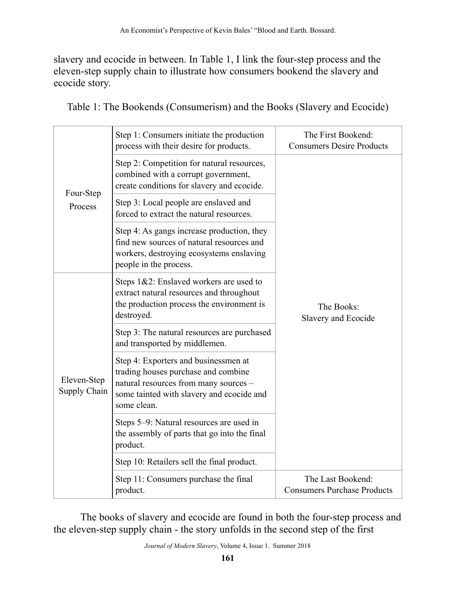slavery and ecocide in between. In Table 1, I link the four-step process and the eleven-step supply chain to illustrate how consumers bookend the slavery and ecocide story.

| Four-Step<br>Process        | Step 1: Consumers initiate the production<br>process with their desire for products.                                                                                             | The First Bookend:<br><b>Consumers Desire Products</b>  |
|-----------------------------|----------------------------------------------------------------------------------------------------------------------------------------------------------------------------------|---------------------------------------------------------|
|                             | Step 2: Competition for natural resources,<br>combined with a corrupt government,<br>create conditions for slavery and ecocide.                                                  | The Books:<br>Slavery and Ecocide                       |
|                             | Step 3: Local people are enslaved and<br>forced to extract the natural resources.                                                                                                |                                                         |
|                             | Step 4: As gangs increase production, they<br>find new sources of natural resources and<br>workers, destroying ecosystems enslaving<br>people in the process.                    |                                                         |
| Eleven-Step<br>Supply Chain | Steps 1&2: Enslaved workers are used to<br>extract natural resources and throughout<br>the production process the environment is<br>destroyed.                                   |                                                         |
|                             | Step 3: The natural resources are purchased<br>and transported by middlemen.                                                                                                     |                                                         |
|                             | Step 4: Exporters and businessmen at<br>trading houses purchase and combine<br>natural resources from many sources -<br>some tainted with slavery and ecocide and<br>some clean. |                                                         |
|                             | Steps 5–9: Natural resources are used in<br>the assembly of parts that go into the final<br>product.                                                                             |                                                         |
|                             | Step 10: Retailers sell the final product.                                                                                                                                       |                                                         |
|                             | Step 11: Consumers purchase the final<br>product.                                                                                                                                | The Last Bookend:<br><b>Consumers Purchase Products</b> |

Table 1: The Bookends (Consumerism) and the Books (Slavery and Ecocide)

The books of slavery and ecocide are found in both the four-step process and the eleven-step supply chain - the story unfolds in the second step of the first

*Journal of Modern Slavery*, Volume 4, Issue 1. Summer 2018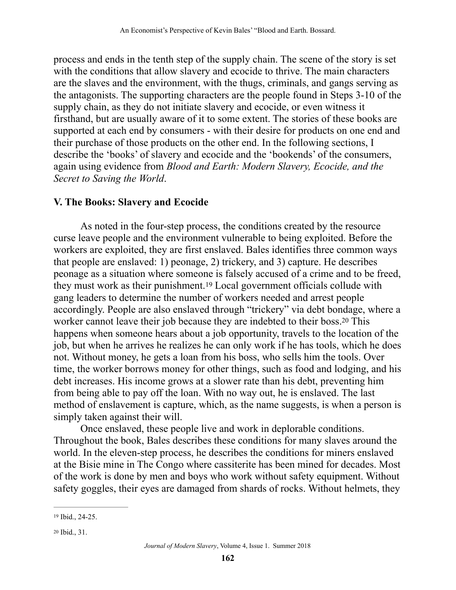process and ends in the tenth step of the supply chain. The scene of the story is set with the conditions that allow slavery and ecocide to thrive. The main characters are the slaves and the environment, with the thugs, criminals, and gangs serving as the antagonists. The supporting characters are the people found in Steps 3-10 of the supply chain, as they do not initiate slavery and ecocide, or even witness it firsthand, but are usually aware of it to some extent. The stories of these books are supported at each end by consumers - with their desire for products on one end and their purchase of those products on the other end. In the following sections, I describe the 'books' of slavery and ecocide and the 'bookends' of the consumers, again using evidence from *Blood and Earth: Modern Slavery, Ecocide, and the Secret to Saving the World*.

#### **V. The Books: Slavery and Ecocide**

<span id="page-9-3"></span><span id="page-9-2"></span>As noted in the four-step process, the conditions created by the resource curse leave people and the environment vulnerable to being exploited. Before the workers are exploited, they are first enslaved. Bales identifies three common ways that people are enslaved: 1) peonage, 2) trickery, and 3) capture. He describes peonage as a situation where someone is falsely accused of a crime and to be freed, they must work as their punishment.<sup>[19](#page-9-0)</sup> Local government officials collude with gang leaders to determine the number of workers needed and arrest people accordingly. People are also enslaved through "trickery" via debt bondage, where a worker cannot leave their job because they are indebted to their boss.<sup>[20](#page-9-1)</sup> This happens when someone hears about a job opportunity, travels to the location of the job, but when he arrives he realizes he can only work if he has tools, which he does not. Without money, he gets a loan from his boss, who sells him the tools. Over time, the worker borrows money for other things, such as food and lodging, and his debt increases. His income grows at a slower rate than his debt, preventing him from being able to pay off the loan. With no way out, he is enslaved. The last method of enslavement is capture, which, as the name suggests, is when a person is simply taken against their will.

 Once enslaved, these people live and work in deplorable conditions. Throughout the book, Bales describes these conditions for many slaves around the world. In the eleven-step process, he describes the conditions for miners enslaved at the Bisie mine in The Congo where cassiterite has been mined for decades. Most of the work is done by men and boys who work without safety equipment. Without safety goggles, their eyes are damaged from shards of rocks. Without helmets, they

<span id="page-9-0"></span><sup>&</sup>lt;sup>[19](#page-9-2)</sup> Ibid., 24-25.

<span id="page-9-1"></span><sup>&</sup>lt;sup>[20](#page-9-3)</sup> Ibid., 31.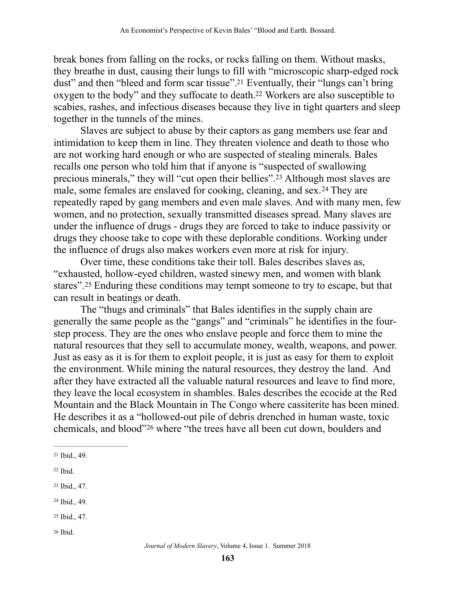<span id="page-10-7"></span><span id="page-10-6"></span>break bones from falling on the rocks, or rocks falling on them. Without masks, they breathe in dust, causing their lungs to fill with "microscopic sharp-edged rock dust" and then "bleed and form scar tissue".<sup>[21](#page-10-0)</sup> Eventually, their "lungs can't bring oxygento the body" and they suffocate to death.<sup>[22](#page-10-1)</sup> Workers are also susceptible to scabies, rashes, and infectious diseases because they live in tight quarters and sleep together in the tunnels of the mines.

<span id="page-10-9"></span><span id="page-10-8"></span> Slaves are subject to abuse by their captors as gang members use fear and intimidation to keep them in line. They threaten violence and death to those who are not working hard enough or who are suspected of stealing minerals. Bales recalls one person who told him that if anyone is "suspected of swallowing precious minerals," they will "cut open their bellies".<sup>[23](#page-10-2)</sup> Although most slaves are male,some females are enslaved for cooking, cleaning, and sex.<sup>[24](#page-10-3)</sup> They are repeatedly raped by gang members and even male slaves. And with many men, few women, and no protection, sexually transmitted diseases spread. Many slaves are under the influence of drugs - drugs they are forced to take to induce passivity or drugs they choose take to cope with these deplorable conditions. Working under the influence of drugs also makes workers even more at risk for injury.

<span id="page-10-10"></span> Over time, these conditions take their toll. Bales describes slaves as, "exhausted, hollow-eyed children, wasted sinewy men, and women with blank stares".<sup>25</sup>Enduring these conditions may tempt someone to try to escape, but that can result in beatings or death.

 The "thugs and criminals" that Bales identifies in the supply chain are generally the same people as the "gangs" and "criminals" he identifies in the fourstep process. They are the ones who enslave people and force them to mine the natural resources that they sell to accumulate money, wealth, weapons, and power. Just as easy as it is for them to exploit people, it is just as easy for them to exploit the environment. While mining the natural resources, they destroy the land. And after they have extracted all the valuable natural resources and leave to find more, they leave the local ecosystem in shambles. Bales describes the ecocide at the Red Mountain and the Black Mountain in The Congo where cassiterite has been mined. He describes it as a "hollowed-out pile of debris drenched in human waste, toxic chemicals, and blood"<sup>[26](#page-10-5)</sup> where "the trees have all been cut down, boulders and

- <span id="page-10-3"></span> $24$  Ibid., 49.
- <span id="page-10-4"></span><sup>[25](#page-10-10)</sup> Ibid., 47.
- <span id="page-10-5"></span> $26$  Ibid.

<span id="page-10-11"></span><span id="page-10-0"></span><sup>&</sup>lt;sup>[21](#page-10-6)</sup> Ibid., 49.

<span id="page-10-1"></span> $22$  Ibid.

<span id="page-10-2"></span>[<sup>23</sup>](#page-10-8) Ibid., 47.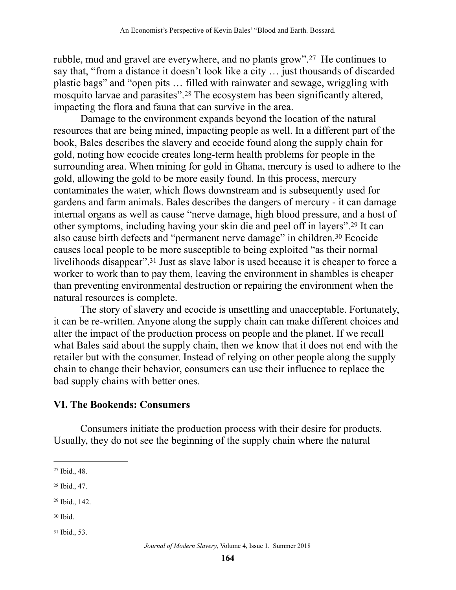<span id="page-11-5"></span>rubble, mud and gravel are everywhere, and no plants grow".<sup>[27](#page-11-0)</sup> He continues to say that, "from a distance it doesn't look like a city … just thousands of discarded plastic bags" and "open pits … filled with rainwater and sewage, wriggling with mosquito larvae and parasites".<sup>[28](#page-11-1)</sup> The ecosystem has been significantly altered, impacting the flora and fauna that can survive in the area.

<span id="page-11-6"></span> Damage to the environment expands beyond the location of the natural resources that are being mined, impacting people as well. In a different part of the book, Bales describes the slavery and ecocide found along the supply chain for gold, noting how ecocide creates long-term health problems for people in the surrounding area. When mining for gold in Ghana, mercury is used to adhere to the gold, allowing the gold to be more easily found. In this process, mercury contaminates the water, which flows downstream and is subsequently used for gardens and farm animals. Bales describes the dangers of mercury - it can damage internal organs as well as cause "nerve damage, high blood pressure, and a host of other symptoms, including having your skin die and peel off in layers"[.](#page-11-2)<sup>[29](#page-11-2)</sup> It can also cause birth defects and "permanent nerve damage" in children.<sup>[30](#page-11-3)</sup> Ecocide causes local people to be more susceptible to being exploited "as their normal livelihoods disappear"[.](#page-11-4)<sup>[31](#page-11-4)</sup> Just as slave labor is used because it is cheaper to force a worker to work than to pay them, leaving the environment in shambles is cheaper than preventing environmental destruction or repairing the environment when the natural resources is complete.

<span id="page-11-9"></span><span id="page-11-8"></span><span id="page-11-7"></span> The story of slavery and ecocide is unsettling and unacceptable. Fortunately, it can be re-written. Anyone along the supply chain can make different choices and alter the impact of the production process on people and the planet. If we recall what Bales said about the supply chain, then we know that it does not end with the retailer but with the consumer. Instead of relying on other people along the supply chain to change their behavior, consumers can use their influence to replace the bad supply chains with better ones.

### **VI. The Bookends: Consumers**

Consumers initiate the production process with their desire for products. Usually, they do not see the beginning of the supply chain where the natural

- <span id="page-11-3"></span> $30$  Ibid.
- <span id="page-11-4"></span><sup>[31](#page-11-9)</sup> Ibid., 53.

<span id="page-11-0"></span> $27$  Ibid., 48.

<span id="page-11-1"></span><sup>&</sup>lt;sup>[28](#page-11-6)</sup> Ibid., 47.

<span id="page-11-2"></span><sup>&</sup>lt;sup>[29](#page-11-7)</sup> Ibid., 142.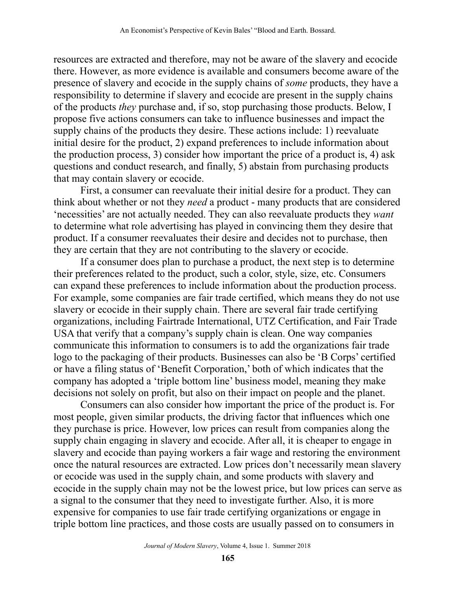resources are extracted and therefore, may not be aware of the slavery and ecocide there. However, as more evidence is available and consumers become aware of the presence of slavery and ecocide in the supply chains of *some* products, they have a responsibility to determine if slavery and ecocide are present in the supply chains of the products *they* purchase and, if so, stop purchasing those products. Below, I propose five actions consumers can take to influence businesses and impact the supply chains of the products they desire. These actions include: 1) reevaluate initial desire for the product, 2) expand preferences to include information about the production process, 3) consider how important the price of a product is, 4) ask questions and conduct research, and finally, 5) abstain from purchasing products that may contain slavery or ecocide.

 First, a consumer can reevaluate their initial desire for a product. They can think about whether or not they *need* a product - many products that are considered 'necessities' are not actually needed. They can also reevaluate products they *want* to determine what role advertising has played in convincing them they desire that product. If a consumer reevaluates their desire and decides not to purchase, then they are certain that they are not contributing to the slavery or ecocide.

If a consumer does plan to purchase a product, the next step is to determine their preferences related to the product, such a color, style, size, etc. Consumers can expand these preferences to include information about the production process. For example, some companies are fair trade certified, which means they do not use slavery or ecocide in their supply chain. There are several fair trade certifying organizations, including Fairtrade International, UTZ Certification, and Fair Trade USA that verify that a company's supply chain is clean. One way companies communicate this information to consumers is to add the organizations fair trade logo to the packaging of their products. Businesses can also be 'B Corps' certified or have a filing status of 'Benefit Corporation,' both of which indicates that the company has adopted a 'triple bottom line' business model, meaning they make decisions not solely on profit, but also on their impact on people and the planet.

 Consumers can also consider how important the price of the product is. For most people, given similar products, the driving factor that influences which one they purchase is price. However, low prices can result from companies along the supply chain engaging in slavery and ecocide. After all, it is cheaper to engage in slavery and ecocide than paying workers a fair wage and restoring the environment once the natural resources are extracted. Low prices don't necessarily mean slavery or ecocide was used in the supply chain, and some products with slavery and ecocide in the supply chain may not be the lowest price, but low prices can serve as a signal to the consumer that they need to investigate further. Also, it is more expensive for companies to use fair trade certifying organizations or engage in triple bottom line practices, and those costs are usually passed on to consumers in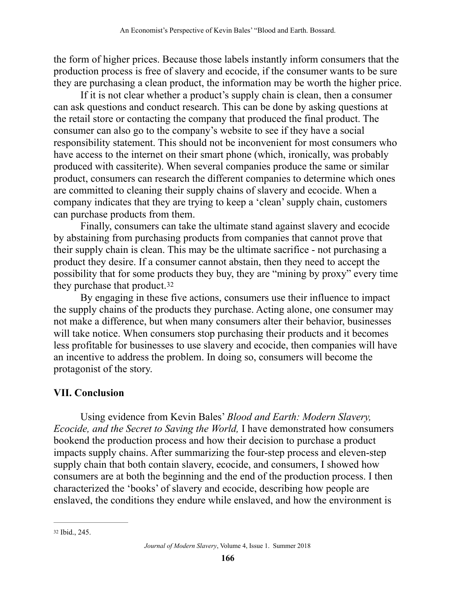the form of higher prices. Because those labels instantly inform consumers that the production process is free of slavery and ecocide, if the consumer wants to be sure they are purchasing a clean product, the information may be worth the higher price.

 If it is not clear whether a product's supply chain is clean, then a consumer can ask questions and conduct research. This can be done by asking questions at the retail store or contacting the company that produced the final product. The consumer can also go to the company's website to see if they have a social responsibility statement. This should not be inconvenient for most consumers who have access to the internet on their smart phone (which, ironically, was probably produced with cassiterite). When several companies produce the same or similar product, consumers can research the different companies to determine which ones are committed to cleaning their supply chains of slavery and ecocide. When a company indicates that they are trying to keep a 'clean' supply chain, customers can purchase products from them.

 Finally, consumers can take the ultimate stand against slavery and ecocide by abstaining from purchasing products from companies that cannot prove that their supply chain is clean. This may be the ultimate sacrifice - not purchasing a product they desire. If a consumer cannot abstain, then they need to accept the possibility that for some products they buy, they are "mining by proxy" every time they purchase that product.<sup>[32](#page-13-0)</sup>

<span id="page-13-1"></span> By engaging in these five actions, consumers use their influence to impact the supply chains of the products they purchase. Acting alone, one consumer may not make a difference, but when many consumers alter their behavior, businesses will take notice. When consumers stop purchasing their products and it becomes less profitable for businesses to use slavery and ecocide, then companies will have an incentive to address the problem. In doing so, consumers will become the protagonist of the story.

# **VII. Conclusion**

Using evidence from Kevin Bales' *Blood and Earth: Modern Slavery, Ecocide, and the Secret to Saving the World,* I have demonstrated how consumers bookend the production process and how their decision to purchase a product impacts supply chains. After summarizing the four-step process and eleven-step supply chain that both contain slavery, ecocide, and consumers, I showed how consumers are at both the beginning and the end of the production process. I then characterized the 'books' of slavery and ecocide, describing how people are enslaved, the conditions they endure while enslaved, and how the environment is

<span id="page-13-0"></span>[<sup>32</sup>](#page-13-1) Ibid., 245.